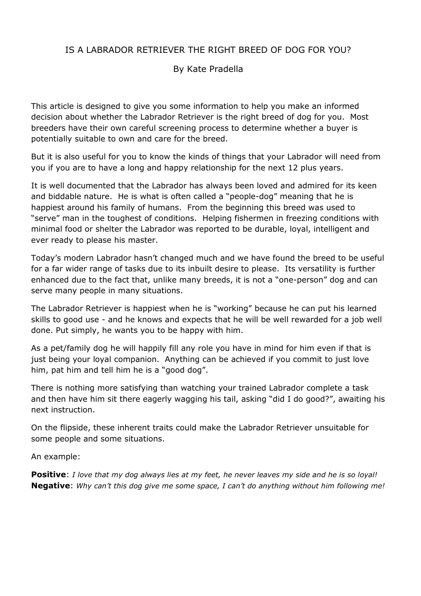## IS A LABRADOR RETRIEVER THE RIGHT BREED OF DOG FOR YOU?

## By Kate Pradella

This article is designed to give you some information to help you make an informed decision about whether the Labrador Retriever is the right breed of dog for you. Most breeders have their own careful screening process to determine whether a buyer is potentially suitable to own and care for the breed.

But it is also useful for you to know the kinds of things that your Labrador will need from you if you are to have a long and happy relationship for the next 12 plus years.

It is well documented that the Labrador has always been loved and admired for its keen and biddable nature. He is what is often called a "people-dog" meaning that he is happiest around his family of humans. From the beginning this breed was used to "serve" man in the toughest of conditions. Helping fishermen in freezing conditions with minimal food or shelter the Labrador was reported to be durable, loyal, intelligent and ever ready to please his master.

Today's modern Labrador hasn't changed much and we have found the breed to be useful for a far wider range of tasks due to its inbuilt desire to please. Its versatility is further enhanced due to the fact that, unlike many breeds, it is not a "one-person" dog and can serve many people in many situations.

The Labrador Retriever is happiest when he is "working" because he can put his learned skills to good use - and he knows and expects that he will be well rewarded for a job well done. Put simply, he wants you to be happy with him.

As a pet/family dog he will happily fill any role you have in mind for him even if that is just being your loyal companion. Anything can be achieved if you commit to just love him, pat him and tell him he is a "good dog".

There is nothing more satisfying than watching your trained Labrador complete a task and then have him sit there eagerly wagging his tail, asking "did I do good?", awaiting his next instruction.

On the flipside, these inherent traits could make the Labrador Retriever unsuitable for some people and some situations.

An example:

**Positive**: *I love that my dog always lies at my feet, he never leaves my side and he is so loyal!* **Negative**: *Why can't this dog give me some space, I can't do anything without him following me!*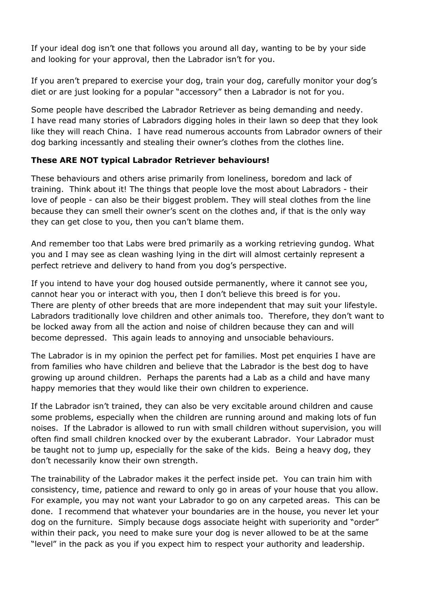If your ideal dog isn't one that follows you around all day, wanting to be by your side and looking for your approval, then the Labrador isn't for you.

If you aren't prepared to exercise your dog, train your dog, carefully monitor your dog's diet or are just looking for a popular "accessory" then a Labrador is not for you.

Some people have described the Labrador Retriever as being demanding and needy. I have read many stories of Labradors digging holes in their lawn so deep that they look like they will reach China. I have read numerous accounts from Labrador owners of their dog barking incessantly and stealing their owner's clothes from the clothes line.

## **These ARE NOT typical Labrador Retriever behaviours!**

These behaviours and others arise primarily from loneliness, boredom and lack of training. Think about it! The things that people love the most about Labradors - their love of people - can also be their biggest problem. They will steal clothes from the line because they can smell their owner's scent on the clothes and, if that is the only way they can get close to you, then you can't blame them.

And remember too that Labs were bred primarily as a working retrieving gundog. What you and I may see as clean washing lying in the dirt will almost certainly represent a perfect retrieve and delivery to hand from you dog's perspective.

If you intend to have your dog housed outside permanently, where it cannot see you, cannot hear you or interact with you, then I don't believe this breed is for you. There are plenty of other breeds that are more independent that may suit your lifestyle. Labradors traditionally love children and other animals too. Therefore, they don't want to be locked away from all the action and noise of children because they can and will become depressed. This again leads to annoying and unsociable behaviours.

The Labrador is in my opinion the perfect pet for families. Most pet enquiries I have are from families who have children and believe that the Labrador is the best dog to have growing up around children. Perhaps the parents had a Lab as a child and have many happy memories that they would like their own children to experience.

If the Labrador isn't trained, they can also be very excitable around children and cause some problems, especially when the children are running around and making lots of fun noises. If the Labrador is allowed to run with small children without supervision, you will often find small children knocked over by the exuberant Labrador. Your Labrador must be taught not to jump up, especially for the sake of the kids. Being a heavy dog, they don't necessarily know their own strength.

The trainability of the Labrador makes it the perfect inside pet. You can train him with consistency, time, patience and reward to only go in areas of your house that you allow. For example, you may not want your Labrador to go on any carpeted areas. This can be done. I recommend that whatever your boundaries are in the house, you never let your dog on the furniture. Simply because dogs associate height with superiority and "order" within their pack, you need to make sure your dog is never allowed to be at the same "level" in the pack as you if you expect him to respect your authority and leadership.